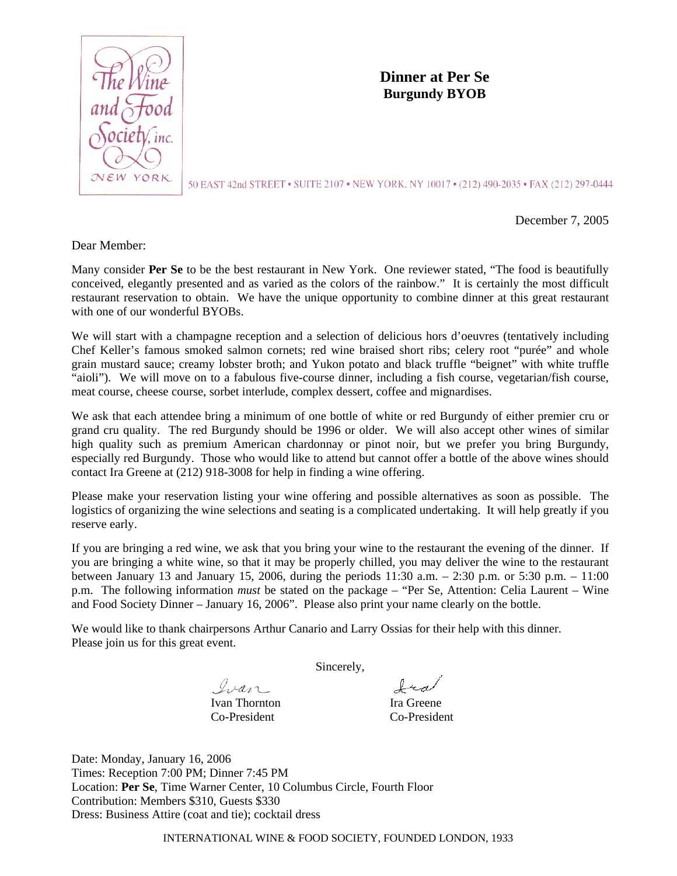

**Dinner at Per Se Burgundy BYOB** 

50 EAST 42nd STREET • SUITE 2107 • NEW YORK, NY 10017 • (212) 490-2035 • FAX (212) 297-0444

December 7, 2005

Dear Member:

Many consider **Per Se** to be the best restaurant in New York. One reviewer stated, "The food is beautifully conceived, elegantly presented and as varied as the colors of the rainbow." It is certainly the most difficult restaurant reservation to obtain. We have the unique opportunity to combine dinner at this great restaurant with one of our wonderful BYOBs.

We will start with a champagne reception and a selection of delicious hors d'oeuvres (tentatively including Chef Keller's famous smoked salmon cornets; red wine braised short ribs; celery root "purée" and whole grain mustard sauce; creamy lobster broth; and Yukon potato and black truffle "beignet" with white truffle "aioli"). We will move on to a fabulous five-course dinner, including a fish course, vegetarian/fish course, meat course, cheese course, sorbet interlude, complex dessert, coffee and mignardises.

We ask that each attendee bring a minimum of one bottle of white or red Burgundy of either premier cru or grand cru quality. The red Burgundy should be 1996 or older. We will also accept other wines of similar high quality such as premium American chardonnay or pinot noir, but we prefer you bring Burgundy, especially red Burgundy. Those who would like to attend but cannot offer a bottle of the above wines should contact Ira Greene at (212) 918-3008 for help in finding a wine offering.

Please make your reservation listing your wine offering and possible alternatives as soon as possible. The logistics of organizing the wine selections and seating is a complicated undertaking. It will help greatly if you reserve early.

If you are bringing a red wine, we ask that you bring your wine to the restaurant the evening of the dinner. If you are bringing a white wine, so that it may be properly chilled, you may deliver the wine to the restaurant between January 13 and January 15, 2006, during the periods 11:30 a.m. – 2:30 p.m. or 5:30 p.m. – 11:00 p.m. The following information *must* be stated on the package – "Per Se, Attention: Celia Laurent – Wine and Food Society Dinner – January 16, 2006". Please also print your name clearly on the bottle.

We would like to thank chairpersons Arthur Canario and Larry Ossias for their help with this dinner. Please join us for this great event.

Sincerely,

Ivan

Ivan Thornton Ira Greene Co-President Co-President

fra

Date: Monday, January 16, 2006 Times: Reception 7:00 PM; Dinner 7:45 PM Location: **Per Se**, Time Warner Center, 10 Columbus Circle, Fourth Floor Contribution: Members \$310, Guests \$330 Dress: Business Attire (coat and tie); cocktail dress

INTERNATIONAL WINE & FOOD SOCIETY, FOUNDED LONDON, 1933